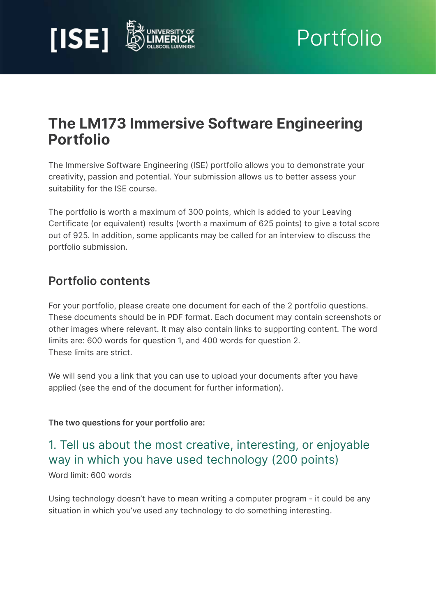



# The LM173 Immersive Software Engineering Portfolio

The Immersive Software Engineering (ISE) portfolio allows you to demonstrate your creativity, passion and potential. Your submission allows us to better assess your suitability for the ISE course.

The portfolio is worth a maximum of 300 points, which is added to your Leaving Certificate (or equivalent) results (worth a maximum of 625 points) to give a total score out of 925. In addition, some applicants may be called for an interview to discuss the portfolio submission.

## Portfolio contents

For your portfolio, please create one document for each of the 2 portfolio questions. These documents should be in PDF format. Each document may contain screenshots or other images where relevant. It may also contain links to supporting content. The word limits are: 600 words for question 1, and 400 words for question 2. These limits are strict.

We will send you a link that you can use to upload your documents after you have applied (see the end of the document for further information).

#### The two questions for your portfolio are:

## 1. Tell us about the most creative, interesting, or enjoyable way in which you have used technology (200 points)

Word limit: 600 words

Using technology doesn't have to mean writing a computer program - it could be any situation in which you've used any technology to do something interesting.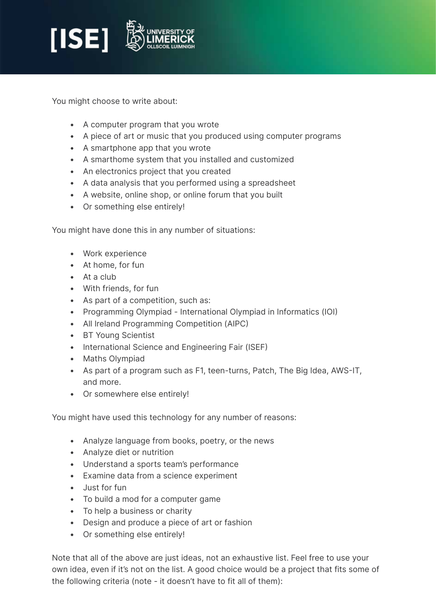

You might choose to write about:

- A computer program that you wrote
- A piece of art or music that you produced using computer programs
- A smartphone app that you wrote
- A smarthome system that you installed and customized
- An electronics project that you created
- A data analysis that you performed using a spreadsheet
- A website, online shop, or online forum that you built
- Or something else entirely!

You might have done this in any number of situations:

- Work experience
- At home, for fun
- At a club
- With friends, for fun
- As part of a competition, such as:
- Programming Olympiad International Olympiad in Informatics (IOI)
- All Ireland Programming Competition (AIPC)
- BT Young Scientist
- International Science and Engineering Fair (ISEF)
- Maths Olympiad
- As part of a program such as F1, teen-turns, Patch, The Big Idea, AWS-IT, and more.
- Or somewhere else entirely!

You might have used this technology for any number of reasons:

- Analyze language from books, poetry, or the news
- Analyze diet or nutrition
- Understand a sports team's performance
- Examine data from a science experiment
- Just for fun
- To build a mod for a computer game
- To help a business or charity
- Design and produce a piece of art or fashion
- Or something else entirely!

Note that all of the above are just ideas, not an exhaustive list. Feel free to use your own idea, even if it's not on the list. A good choice would be a project that fits some of the following criteria (note - it doesn't have to fit all of them):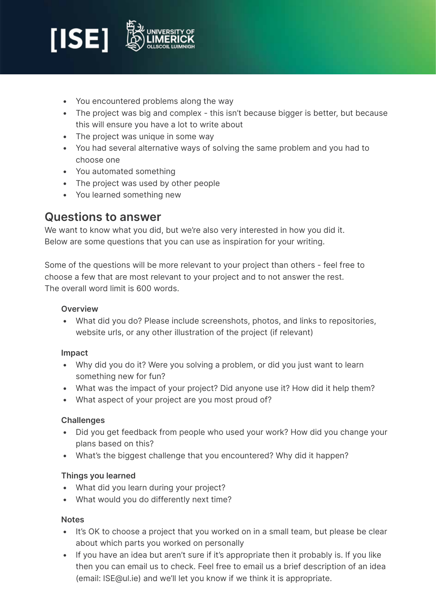

- You encountered problems along the way
- The project was big and complex this isn't because bigger is better, but because this will ensure you have a lot to write about
- The project was unique in some way
- You had several alternative ways of solving the same problem and you had to choose one
- You automated something
- The project was used by other people
- You learned something new

### Questions to answer

We want to know what you did, but we're also very interested in how you did it. Below are some questions that you can use as inspiration for your writing.

Some of the questions will be more relevant to your project than others - feel free to choose a few that are most relevant to your project and to not answer the rest. The overall word limit is 600 words.

#### **Overview**

• What did you do? Please include screenshots, photos, and links to repositories, website urls, or any other illustration of the project (if relevant)

#### Impact

- Why did you do it? Were you solving a problem, or did you just want to learn something new for fun?
- What was the impact of your project? Did anyone use it? How did it help them?
- What aspect of your project are you most proud of?

#### **Challenges**

- Did you get feedback from people who used your work? How did you change your plans based on this?
- What's the biggest challenge that you encountered? Why did it happen?

#### Things you learned

- What did you learn during your project?
- What would you do differently next time?

#### **Notes**

- It's OK to choose a project that you worked on in a small team, but please be clear about which parts you worked on personally
- If you have an idea but aren't sure if it's appropriate then it probably is. If you like then you can email us to check. Feel free to email us a brief description of an idea (email: [ISE@ul.ie\)](mailto:ISE@ul.ie) and we'll let you know if we think it is appropriate.